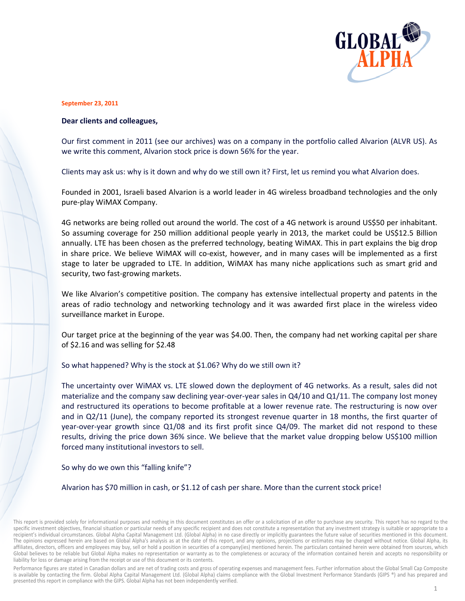

## **Septemb er 23, 2011**

## **Dear clients and colleagues,**

Our first comment in 2011 (see our archives) was on a company in the portfolio called Alvarion (ALVR US). As we write this comment, Alvarion stock price is down 56% for the year.

Clients may ask us: why is it down and why do we still own it? First, let us remind you what Alvarion does.

Founded in 2001, Israeli based Alvarion is a world leader in 4G wireless broadband technologies and the only pure-play WiMAX Company. ly<br>t.

4G networks are being rolled out around the world. The cost of a 4G network is around US\$50 per inhabitant So assuming coverage for 250 million additional people yearly in 2013, the market could be US\$12.5 Billion<br>annually. LTE has been chosen as the preferred technology, beating WiMAX. This in part explains the big drop<br>in sha annually. LTE has been chosen as the preferred technology, beating WiMAX. This in part explains the big drop in share price. We believe WiMAX will co-exist, however, and in many cases will be implemented as a firs stage to later be upgraded to LTE. In addition, WiMAX has many niche applications such as smart grid and security, two fast-growing markets.

We like Alvarion's competitive position. The company has extensive intellectual property and patents in the areas of radio technology and networking technology and it was awarded first place in the wireless video surveillance market in Europe. nd<br>he<br>eo<br>re<br>ot

Our target price at the beginning of the year was \$4.00. Then, the company had net working capital per share of \$2.16 6 and was sel ling for \$2.48

of \$2.16 and was selling for \$2.48<br>So what happened? Why is the stock at \$1.06? Why do we still own it?

The uncertainty over WiMAX vs. LTE slowed down the deployment of 4G networks. As a result, sales did no materialize and the company saw declining year-over-year sales in Q4/10 and Q1/11. The company lost money<br>and restructured its operations to become profitable at a lower revenue rate. The restructuring is now over and restructured its operations to become profitable at a lower revenue rate. The restructuring is now ove and in Q2/11 (June), the company reported its strongest revenue quarter in 18 months, the first quarter of year-over-year growth since Q1/08 and its first profit since Q4/09. The market did not respond to these year-over-year growth since Q1/08 and its first profit since Q4/09. The market did not respond to these<br>results, driving the price down 36% since. We believe that the market value dropping below US\$100 million forced m many institut ional investo rs to sell.

So why do we own this "falling knife"?

Alvarion has \$70 million in cash, or \$1.12 of cash per share. More than the current stock price!

Performance figures are stated in Canadian dollars and are net of trading costs and gross of operating expenses and management fees. Further information about the Global Small Cap Composite is available by contacting the firm. Global Alpha Capital Management Ltd. (Global Alpha) claims compliance with the Global Investment Performance Standards (GIPS ®) and has prepared and presented this report in compliance with the GIPS. Global Alpha has not been independently verified.

This report is provided solely for informational purposes and nothing in this document constitutes an offer or a solicitation of an offer to purchase any security. This report has no regard to the specific investment objectives, financial situation or particular needs of any specific recipient and does not constitute a representation that any investment strategy is suitable or appropriate to a recipient's individual circumstances. Global Alpha Capital Management Ltd. (Global Alpha) in no case directly or implicitly guarantees the future value of securities mentioned in this document. The opinions expressed herein are based on Global Alpha's analysis as at the date of this report, and any opinions, projections or estimates may be changed without notice. Global Alpha, its affiliates, directors, officers and employees may buy, sell or hold a position in securities of a company(ies) mentioned herein. The particulars contained herein were obtained from sources, which Global believes to be reliable but Global Alpha makes no representation or warranty as to the completeness or accuracy of the information contained herein and accepts no responsibility or liability for loss or damage arising from the receipt or use of this document or its contents.